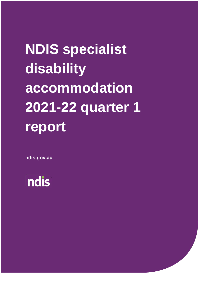# **NDIS specialist disability accommodation 2021-22 quarter 1 report**

**ndis.gov.au**

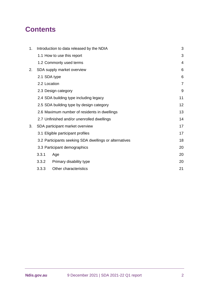# **Contents**

| 1. |              | Introduction to data released by the NDIA              | 3              |
|----|--------------|--------------------------------------------------------|----------------|
|    |              | 1.1 How to use this report                             | 3              |
|    |              | 1.2 Commonly used terms                                | 4              |
| 2. |              | SDA supply market overview                             | 6              |
|    |              | 2.1 SDA type                                           | 6              |
|    | 2.2 Location |                                                        | $\overline{7}$ |
|    |              | 2.3 Design category                                    | 9              |
|    |              | 2.4 SDA building type including legacy                 | 11             |
|    |              | 2.5 SDA building type by design category               | 12             |
|    |              | 2.6 Maximum number of residents in dwellings           | 13             |
|    |              | 2.7 Unfinished and/or unenrolled dwellings             | 14             |
| 3. |              | SDA participant market overview                        | 17             |
|    |              | 3.1 Eligible participant profiles                      | 17             |
|    |              | 3.2 Participants seeking SDA dwellings or alternatives | 18             |
|    |              | 3.3 Participant demographics                           | 20             |
|    | 3.3.1        | Age                                                    | 20             |
|    | 3.3.2        | Primary disability type                                | 20             |
|    | 3.3.3        | Other characteristics                                  | 21             |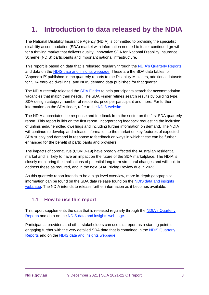# <span id="page-2-0"></span>**1. Introduction to data released by the NDIA**

The National Disability Insurance Agency (NDIA) is committed to providing the specialist disability accommodation (SDA) market with information needed to foster continued growth for a thriving market that delivers quality, innovative SDA for National Disability Insurance Scheme (NDIS) participants and important national infrastructure.

This report is based on data that is released regularly through the [NDIA's Quarterly Reports](https://ndis.gov.au/about-us/publications/quarterly-reports) and data on the [NDIS data and insights webpage.](https://data.ndis.gov.au/) These are the SDA data tables for 'Appendix P' published in the quarterly reports to the Disability Ministers, additional datasets for SDA enrolled dwellings, and NDIS demand data published for that quarter.

The NDIA recently released the [SDA Finder](https://www.ndis.gov.au/participants/home-and-living/specialist-disability-accommodation-explained/sda-finder) to help participants search for accommodation vacancies that match their needs. The SDA Finder refines search results by building type, SDA design category, number of residents, price per participant and more. For further information on the SDA finder, refer to the [NDIS website.](https://www.ndis.gov.au/participants/home-and-living/specialist-disability-accommodation-explained/sda-finder)

The NDIA appreciates the response and feedback from the sector on the first SDA quarterly report. This report builds on the first report, incorporating feedback requesting the inclusion of unfinished/unenrolled dwellings and including further information on demand. The NDIA will continue to develop and release information to the market on key features of expected SDA supply and demand in response to feedback on ways in which these can be further enhanced for the benefit of participants and providers.

The impacts of coronavirus (COVID-19) have broadly affected the Australian residential market and is likely to have an impact on the future of the SDA marketplace. The NDIA is closely monitoring the implications of potential long term structural changes and will look to address these as required, and in the next SDA Pricing Review due in 2023.

As this quarterly report intends to be a high level overview, more in-depth geographical information can be found on the SDA data release found on the [NDIS data and insights](https://data.ndis.gov.au/)  [webpage.](https://data.ndis.gov.au/) The NDIA intends to release further information as it becomes available.

# <span id="page-2-1"></span>**1.1 How to use this report**

This report supplements the data that is released regularly through the [NDIA's Quarterly](https://ndis.gov.au/about-us/publications/quarterly-reports)  [Reports](https://ndis.gov.au/about-us/publications/quarterly-reports) and data on the [NDIS data and insights webpage.](https://data.ndis.gov.au/)

Participants, providers and other stakeholders can use this report as a starting point for engaging further with the very detailed SDA data that is contained in the [NDIS Quarterly](https://ndis.gov.au/about-us/publications/quarterly-reports)  [Reports](https://ndis.gov.au/about-us/publications/quarterly-reports) and on the [NDIS data and insights webpage.](https://data.ndis.gov.au/)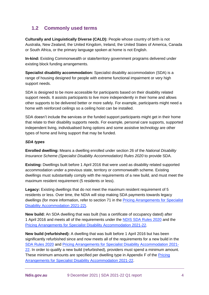# <span id="page-3-0"></span>**1.2 Commonly used terms**

**Culturally and Linguistically Diverse (CALD):** People whose country of birth is not Australia, New Zealand, the United Kingdom, Ireland, the United States of America, Canada or South Africa, or the primary language spoken at home is not English.

**In-kind:** Existing Commonwealth or state/territory government programs delivered under existing block funding arrangements.

**Specialist disability accommodation:** Specialist disability accommodation (SDA) is a range of housing designed for people with extreme functional impairment or very high support needs.

SDA is designed to be more accessible for participants based on their disability related support needs. It assists participants to live more independently in their home and allows other supports to be delivered better or more safely. For example, participants might need a home with reinforced ceilings so a ceiling hoist can be installed.

SDA doesn't include the services or the funded support participants might get in their home that relate to their disability supports needs. For example, personal care supports, supported independent living, individualised living options and some assistive technology are other types of home and living support that may be funded.

## *SDA types*

**Enrolled dwelling:** Means a dwelling enrolled under section 26 of the *National Disability Insurance Scheme (Specialist Disability Accommodation) Rules 2020* to provide SDA.

**Existing:** Dwellings built before 1 April 2016 that were used as disability related supported accommodation under a previous state, territory or commonwealth scheme. Existing dwellings must substantially comply with the requirements of a new build, and must meet the maximum resident requirement (5 residents or less).

**Legacy:** Existing dwellings that do not meet the maximum resident requirement of 5 residents or less. Over time, the NDIA will stop making SDA payments towards legacy dwellings (for more information, refer to section 71 in the [Pricing Arrangements for Specialist](https://www.ndis.gov.au/providers/pricing-arrangements#pricing-arrangements-for-specialist-disability-accommodation)  [Disability Accommodation 2021-22\)](https://www.ndis.gov.au/providers/pricing-arrangements#pricing-arrangements-for-specialist-disability-accommodation).

**New build:** An SDA dwelling that was built (has a certificate of occupancy dated) after 1 April 2016 and meets all of the requirements under the [NDIS SDA Rules 2020](https://www.legislation.gov.au/Details/F2020L00769) and the [Pricing Arrangements for Specialist Disability Accommodation 2021-22.](https://www.ndis.gov.au/providers/pricing-arrangements#pricing-arrangements-for-specialist-disability-accommodation)

**New build (refurbished):** A dwelling that was built before 1 April 2016 but has been significantly refurbished since and now meets all of the requirements for a new build in the [SDA Rules 2020](https://www.legislation.gov.au/Details/F2020L00769) and [Pricing Arrangements for Specialist Disability Accommodation 2021-](https://www.ndis.gov.au/providers/pricing-arrangements#pricing-arrangements-for-specialist-disability-accommodation) [22.](https://www.ndis.gov.au/providers/pricing-arrangements#pricing-arrangements-for-specialist-disability-accommodation) In order to qualify a new build (refurbished), providers must spend a minimum amount. These minimum amounts are specified per dwelling type in Appendix F of the [Pricing](https://www.ndis.gov.au/providers/pricing-arrangements#pricing-arrangements-for-specialist-disability-accommodation)  [Arrangements for Specialist Disability Accommodation 2021-22.](https://www.ndis.gov.au/providers/pricing-arrangements#pricing-arrangements-for-specialist-disability-accommodation)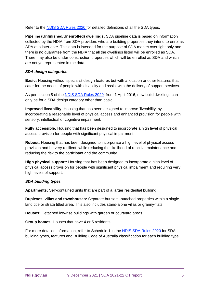Refer to the [NDIS SDA Rules 2020](https://www.legislation.gov.au/Details/F2020L00769) for detailed definitions of all the SDA types.

**Pipeline (Unfinished/Unenrolled) dwellings:** SDA pipeline data is based on information collected by the NDIA from SDA providers who are building properties they intend to enrol as SDA at a later date. This data is intended for the purpose of SDA market oversight only and there is no guarantee from the NDIA that all the dwellings listed will be enrolled as SDA. There may also be under-construction properties which will be enrolled as SDA and which are not yet represented in the data.

#### *SDA design categories*

**Basic:** Housing without specialist design features but with a location or other features that cater for the needs of people with disability and assist with the delivery of support services.

As per section 8 of the [NDIS SDA Rules 2020,](https://www.legislation.gov.au/Details/F2020L00769) from 1 April 2016, new build dwellings can only be for a SDA design category other than basic.

**Improved liveability:** Housing that has been designed to improve 'liveability' by incorporating a reasonable level of physical access and enhanced provision for people with sensory, intellectual or cognitive impairment.

**Fully accessible:** Housing that has been designed to incorporate a high level of physical access provision for people with significant physical impairment.

**Robust:** Housing that has been designed to incorporate a high level of physical access provision and be very resilient, while reducing the likelihood of reactive maintenance and reducing the risk to the participant and the community.

**High physical support:** Housing that has been designed to incorporate a high level of physical access provision for people with significant physical impairment and requiring very high levels of support.

## *SDA building types*

**Apartments:** Self-contained units that are part of a larger residential building.

**Duplexes, villas and townhouses:** Separate but semi-attached properties within a single land title or strata titled area. This also includes stand-alone villas or granny-flats.

**Houses:** Detached low-rise buildings with garden or courtyard areas.

**Group homes:** Houses that have 4 or 5 residents.

For more detailed information, refer to Schedule 1 in the [NDIS SDA Rules 2020](https://www.legislation.gov.au/Details/F2020L00769) for SDA building types, features and Building Code of Australia classification for each building type.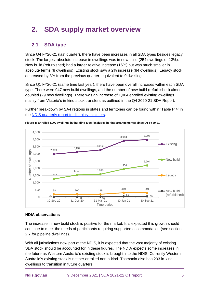# <span id="page-5-0"></span>**2. SDA supply market overview**

# <span id="page-5-1"></span>**2.1 SDA type**

Since Q4 FY20-21 (last quarter), there have been increases in all SDA types besides legacy stock. The largest absolute increase in dwellings was in new build (254 dwellings or 13%). New build (refurbished) had a larger relative increase (16%) but was much smaller in absolute terms (8 dwellings). Existing stock saw a 2% increase (84 dwellings). Legacy stock decreased by 3% from the previous quarter, equivalent to 9 dwellings.

Since Q1 FY20-21 (same time last year), there have been overall increases within each SDA type. There were 947 new build dwellings, and the number of new build (refurbished) almost doubled (29 new dwellings). There was an increase of 1,004 enrolled existing dwellings mainly from Victoria's in-kind stock transfers as outlined in the Q4 2020-21 SDA Report.

Further breakdown by SA4 regions in states and territories can be found within 'Table P.4' in the [NDIS quarterly report to disability ministers.](https://www.ndis.gov.au/about-us/publications/quarterly-reports)



**Figure 1: Enrolled SDA dwellings by building type (excludes in-kind arrangements) since Q1 FY20-21**

## **NDIA observations**

The increase in new build stock is positive for the market. It is expected this growth should continue to meet the needs of participants requiring supported accommodation (see section [2.7](#page-13-0) for pipeline dwellings).

With all jurisdictions now part of the NDIS, it is expected that the vast majority of existing SDA stock should be accounted for in these figures. The NDIA expects some increases in the future as Western Australia's existing stock is brought into the NDIS. Currently Western Australia's existing stock is neither enrolled nor in-kind. Tasmania also has 203 in-kind dwellings to transition in future quarters.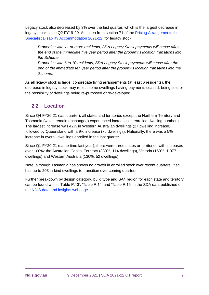Legacy stock also decreased by 3% over the last quarter, which is the largest decrease in legacy stock since Q2 FY19-20. As taken from section 71 of the [Pricing Arrangements for](https://www.ndis.gov.au/providers/pricing-arrangements#pricing-arrangements-for-specialist-disability-accommodation)  [Specialist Disability Accommodation 2021-22,](https://www.ndis.gov.au/providers/pricing-arrangements#pricing-arrangements-for-specialist-disability-accommodation) for legacy stock:

- *Properties with 11 or more residents, SDA Legacy Stock payments will cease after the end of the immediate five year period after the property's location transitions into the Scheme.*
- *Properties with 6 to 10 residents, SDA Legacy Stock payments will cease after the end of the immediate ten year period after the property's location transitions into the Scheme.*

As all legacy stock is large, congregate living arrangements (at least 6 residents), the decrease in legacy stock may reflect some dwellings having payments ceased, being sold or the possibility of dwellings being re-purposed or re-developed.

# <span id="page-6-0"></span>**2.2 Location**

Since Q4 FY20-21 (last quarter), all states and territories except the Northern Territory and Tasmania (which remain unchanged) experienced increases in enrolled dwelling numbers. The largest increase was 42% in Western Australian dwellings (27 dwelling increase) followed by Queensland with a 9% increase (76 dwellings). Nationally, there was a 5% increase in overall dwellings enrolled in the last quarter.

Since Q1 FY20-21 (same time last year), there were three states or territories with increases over 100%: the Australian Capital Territory (380%, 114 dwellings), Victoria (159%, 1,077 dwellings) and Western Australia (130%, 52 dwellings).

Note, although Tasmania has shown no growth in enrolled stock over recent quarters, it still has up to 203 in-kind dwellings to transition over coming quarters.

Further breakdown by design category, build type and SA4 region for each state and territory can be found within 'Table P.13', 'Table P.14' and 'Table P.15' in the SDA data published on the [NDIS data and insights webpage.](https://data.ndis.gov.au/)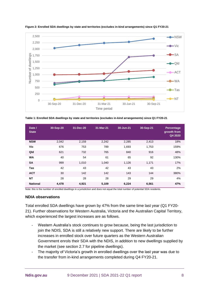

**Figure 2: Enrolled SDA dwellings by state and territories (excludes in-kind arrangements) since Q1 FY20-21**

**Table 1: Enrolled SDA dwellings by state and territories (excludes in-kind arrangements) since Q1 FY20-21**

| Date /<br><b>State</b> | 30-Sep-20 | 31-Dec-20 | 31-Mar-21 | 30-Jun-21 | 30-Sep-21 | Percentage<br>growth from<br>Q4 2020 |
|------------------------|-----------|-----------|-----------|-----------|-----------|--------------------------------------|
| <b>NSW</b>             | 2,042     | 2,159     | 2,242     | 2,285     | 2,413     | 18%                                  |
| Vic                    | 676       | 753       | 789       | 1,693     | 1,753     | 159%                                 |
| Qld                    | 621       | 732       | 765       | 840       | 916       | 48%                                  |
| <b>WA</b>              | 40        | 54        | 61        | 65        | 92        | 130%                                 |
| <b>SA</b>              | 999       | 1,010     | 1,040     | 1,126     | 1,171     | 17%                                  |
| <b>Tas</b>             | 42        | 43        | 42        | 43        | 43        | 2%                                   |
| <b>ACT</b>             | 30        | 142       | 142       | 143       | 144       | 380%                                 |
| <b>NT</b>              | 28        | 28        | 28        | 29        | 29        | 4%                                   |
| <b>National</b>        | 4,478     | 4,921     | 5,109     | 6,224     | 6,561     | 47%                                  |

Note: this is the number of enrolled dwellings in a jurisdiction and does not equal the total number of potential SDA residents.

#### **NDIA observations**

Total enrolled SDA dwellings have grown by 47% from the same time last year (Q1 FY20- 21). Further observations for Western Australia, Victoria and the Australian Capital Territory, which experienced the largest increases are as follows.

- Western Australia's stock continues to grow because, being the last jurisdiction to join the NDIS, SDA is still a relatively new support. There are likely to be further increases in enrolled stock over future quarters as the Western Australian Government enrols their SDA with the NDIS, in addition to new dwellings supplied by the market (see section [2.7](#page-13-0) for pipeline dwellings).
- The majority of Victoria's growth in enrolled dwellings over the last year was due to the transfer from in-kind arrangements completed during Q4 FY20-21.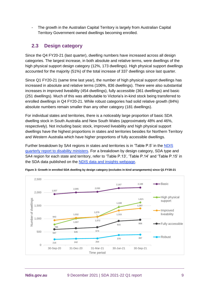The growth in the Australian Capital Territory is largely from Australian Capital Territory Government owned dwellings becoming enrolled.

# <span id="page-8-0"></span>**2.3 Design category**

Since the Q4 FY20-21 (last quarter), dwelling numbers have increased across all design categories. The largest increase, in both absolute and relative terms, were dwellings of the high physical support design category (12%, 173 dwellings). High physical support dwellings accounted for the majority (51%) of the total increase of 337 dwellings since last quarter.

Since Q1 FY20-21 (same time last year), the number of high physical support dwellings has increased in absolute and relative terms (106%, 836 dwellings). There were also substantial increases in improved liveability (454 dwellings), fully accessible (361 dwellings) and basic (251 dwellings). Much of this was attributable to Victoria's in-kind stock being transferred to enrolled dwellings in Q4 FY20-21. While robust categories had solid relative growth (84%) absolute numbers remain smaller than any other category (181 dwellings).

For individual states and territories, there is a noticeably large proportion of basic SDA dwelling stock in South Australia and New South Wales (approximately 48% and 46%, respectively). Not including basic stock, improved liveability and high physical support dwellings have the highest proportions in states and territories besides for Northern Territory and Western Australia which have higher proportions of fully accessible dwellings.

Further breakdown by SA4 regions in states and territories is in 'Table P.5' in the [NDIS](https://www.ndis.gov.au/about-us/publications/quarterly-reports)  [quarterly report to disability ministers.](https://www.ndis.gov.au/about-us/publications/quarterly-reports) For a breakdown by design category, SDA type and SA4 region for each state and territory, refer to 'Table P.13', 'Table P.14' and 'Table P.15' in the SDA data published on the [NDIS data and insights webpage.](https://data.ndis.gov.au/)



**Figure 3: Growth in enrolled SDA dwelling by design category (excludes in-kind arrangements) since Q1 FY20-21**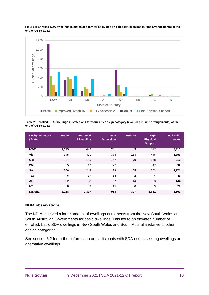

**Figure 4: Enrolled SDA dwellings in states and territories by design category (excludes in-kind arrangements) at the end of Q1 FY21-22**

**Table 2: Enrolled SDA dwellings in states and territories by design category (excludes in-kind arrangements) at the end of Q1 FY21-22**

| <b>Design category</b><br>/ State | <b>Basic</b> | <b>Improved</b><br>Liveability | <b>Fully</b><br><b>Accessible</b> | <b>Robust</b>  | <b>High</b><br><b>Physical</b><br><b>Support</b> | <b>Total build</b><br>types |
|-----------------------------------|--------------|--------------------------------|-----------------------------------|----------------|--------------------------------------------------|-----------------------------|
| <b>NSW</b>                        | 1,119        | 443                            | 251                               | 83             | 517                                              | 2,413                       |
| Vic                               | 345          | 421                            | 378                               | 163            | 446                                              | 1,753                       |
| Qld                               | 107          | 195                            | 167                               | 79             | 368                                              | 916                         |
| <b>WA</b>                         | 5            | 12                             | 27                                | 1              | 47                                               | 92                          |
| <b>SA</b>                         | 566          | 248                            | 99                                | 55             | 203                                              | 1,171                       |
| <b>Tas</b>                        | 6            | 17                             | 14                                | $\overline{2}$ | 4                                                | 43                          |
| <b>ACT</b>                        | 32           | 58                             | 7                                 | 14             | 33                                               | 144                         |
| <b>NT</b>                         | 8            | 3                              | 15                                | 0              | 3                                                | 29                          |
| <b>National</b>                   | 2,188        | 1,397                          | 958                               | 397            | 1,621                                            | 6,561                       |

## **NDIA observations**

The NDIA received a large amount of dwellings enrolments from the New South Wales and South Australian Governments for basic dwellings. This led to an elevated number of enrolled, basic SDA dwellings in New South Wales and South Australia relative to other design categories.

See section [3.2](#page-17-0) for further information on participants with SDA needs seeking dwellings or alternative dwellings.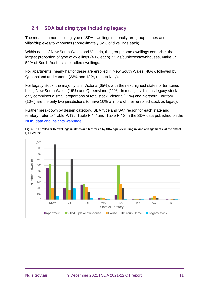# <span id="page-10-0"></span>**2.4 SDA building type including legacy**

The most common building type of SDA dwellings nationally are group homes and villas/duplexes/townhouses (approximately 32% of dwellings each).

Within each of New South Wales and Victoria, the group home dwellings comprise the largest proportion of type of dwellings (40% each). Villas/duplexes/townhouses, make up 52% of South Australia's enrolled dwellings.

For apartments, nearly half of these are enrolled in New South Wales (48%), followed by Queensland and Victoria (23% and 18%, respectively).

For legacy stock, the majority is in Victoria (65%), with the next highest states or territories being New South Wales (19%) and Queensland (11%). In most jursidictions legacy stock only comprises a small proportions of total stock. Victoria (11%) and Northern Territory (10%) are the only two jurisdictions to have 10% or more of their enrolled stock as legacy.

Further breakdown by design category, SDA type and SA4 region for each state and territory, refer to 'Table P.13', 'Table P.14' and 'Table P.15' in the SDA data published on the [NDIS data and insights webpage.](https://data.ndis.gov.au/)

**Figure 5: Enrolled SDA dwellings in states and territories by SDA type (excluding in-kind arrangements) at the end of Q1 FY21-22**

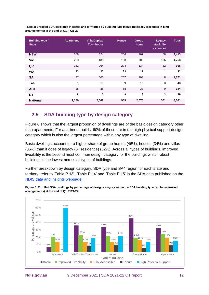| <b>Building type /</b><br><b>State</b> | <b>Apartment</b> | Villa/Duplex/<br><b>Townhouse</b> | <b>House</b> | Group<br>home | <b>Legacy</b><br>stock $(6+$<br>residence) | <b>Total</b> |
|----------------------------------------|------------------|-----------------------------------|--------------|---------------|--------------------------------------------|--------------|
| <b>NSW</b>                             | 558              | 624                               | 206          | 967           | 58                                         | 2,413        |
| <b>Vic</b>                             | 203              | 488                               | 163          | 703           | 196                                        | 1,753        |
| Qld                                    | 262              | 264                               | 224          | 134           | 32                                         | 916          |
| <b>WA</b>                              | 22               | 35                                | 23           | 11            | 1                                          | 92           |
| <b>SA</b>                              | 87               | 606                               | 267          | 203           | 8                                          | 1,171        |
| <b>Tas</b>                             | $\mathbf{1}$     | 15                                | 9            | 15            | 3                                          | 43           |
| <b>ACT</b>                             | 18               | 35                                | 58           | 33            | $\mathbf 0$                                | 144          |
| <b>NT</b>                              | 8                | $\mathbf 0$                       | 9            | 9             | 3                                          | 29           |
| <b>National</b>                        | 1,159            | 2,067                             | 959          | 2,075         | 301                                        | 6,561        |

**Table 3: Enrolled SDA dwellings in states and territories by building type including legacy (excludes in-kind arrangements) at the end of Q1 FY21-22**

# <span id="page-11-0"></span>**2.5 SDA building type by design category**

[Figure 6](#page-11-1) shows that the largest proportion of dwellings are of the basic design category other than apartments. For apartment builds, 60% of these are in the high physical support design category which is also the largest percentage within any type of dwelling.

Basic dwellings account for a higher share of group homes (46%), houses (34%) and villas (36%) than it does of legacy (6+ residence) (32%). Across all types of buildings, improved liveability is the second most common design category for the buildings whilst robust buildings is the lowest across all types of buildings.

Further breakdown by design category, SDA type and SA4 region for each state and territory, refer to 'Table P.13', 'Table P.14' and 'Table P.15' in the SDA data published on the [NDIS data and insights webpage.](https://data.ndis.gov.au/)

<span id="page-11-1"></span>

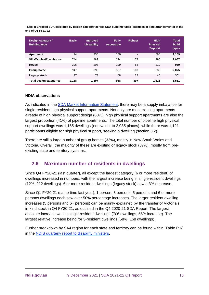**Table 4: Enrolled SDA dwellings by design category across SDA building types (excludes in-kind arrangements) at the end of Q1 FY21-22**

| Design category /<br><b>Building type</b> | <b>Basic</b> | <b>Improved</b><br>Liveability | <b>Fully</b><br><b>Accessible</b> | <b>Robust</b> | <b>High</b><br><b>Physical</b><br><b>Support</b> | <b>Total</b><br>build<br>types |
|-------------------------------------------|--------------|--------------------------------|-----------------------------------|---------------|--------------------------------------------------|--------------------------------|
| Apartment                                 | 74           | 235                            | 160                               | ٠             | 690                                              | 1,159                          |
| Villa/Duplex/Townhouse                    | 744          | 482                            | 274                               | 177           | 390                                              | 2,067                          |
| House                                     | 326          | 208                            | 129                               | 86            | 210                                              | 959                            |
| Group home                                | 947          | 399                            | 337                               | 107           | 285                                              | 2,075                          |
| Legacy stock                              | 97           | 73                             | 58                                | 27            | 46                                               | 301                            |
| <b>Total design categories</b>            | 2.188        | 1.397                          | 958                               | 397           | 1.621                                            | 6,561                          |

#### **NDIA observations**

As indicated in the [SDA Market Information Statement,](https://www.ndis.gov.au/media/3489/download?attachment) there may be a supply imbalance for single-resident high physical support apartments. Not only are most existing apartments already of high physical support design (60%), high physical support apartments are also the largest proportion (41%) of pipeline apartments. The total number of pipeline high physical support dwellings was 1,165 dwellings (equivalent to 2,035 places), while there was 1,121 participants eligible for high physical support, seeking a dwelling (section [3.2\)](#page-17-0).

There are still a large number of group homes (32%), mostly in New South Wales and Victoria. Overall, the majority of these are existing or legacy stock (87%), mostly from preexisting state and territory systems.

# <span id="page-12-0"></span>**2.6 Maximum number of residents in dwellings**

Since Q4 FY20-21 (last quarter), all except the largest category (6 or more resident) of dwellings increased in numbers, with the largest increase being in single-resident dwellings (12%, 212 dwellings). 6 or more resident dwellings (legacy stock) saw a 3% decrease.

Since Q1 FY20-21 (same time last year), 1 person, 3 persons, 5 persons and 6 or more persons dwellings each saw over 50% percentage increases. The larger resident dwelling increases (5 persons and 6+ persons) can be mainly explained by the transfer of Victoria's in-kind stock in Q4 FY20-21, as outlined in the Q4 2020-21 SDA Report. The largest absolute increase was in single resident dwellings (706 dwellings, 56% increase). The largest relative increase being for 3-resident dwellings (58%, 168 dwellings).

Further breakdown by SA4 region for each state and territory can be found within 'Table P.6' in the [NDIS quarterly report to disability ministers.](https://www.ndis.gov.au/about-us/publications/quarterly-reports)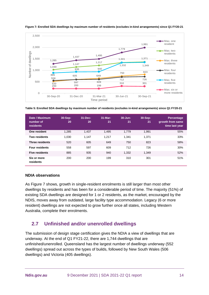

<span id="page-13-1"></span>**Figure 7: Enrolled SDA dwellings by maximum number of residents (excludes in-kind arrangements) since Q1 FY20-21**

**Table 5: Enrolled SDA dwellings by maximum number of residents (excludes in-kind arrangements) since Q1 FY20-21**

| Date / Maximum<br>number of<br><b>residents</b> | 30-Sep-<br>20 | $31 - Dec-$<br>20 | $31-Mar-$<br>21 | $30 - Jun -$<br>21 | 30-Sep-<br>21 | <b>Percentage</b><br>growth from same<br>time last year |
|-------------------------------------------------|---------------|-------------------|-----------------|--------------------|---------------|---------------------------------------------------------|
| One resident                                    | 1,285         | 1,437             | 1,495           | 1,779              | 1.991         | 55%                                                     |
| Two residents                                   | 1.030         | 1,147             | 1.217           | 1,341              | 1.371         | 33%                                                     |
| <b>Three residents</b>                          | 520           | 605               | 649             | 750                | 823           | 58%                                                     |
| <b>Four residents</b>                           | 558           | 597               | 609             | 712                | 726           | 30%                                                     |
| <b>Five residents</b>                           | 885           | 935               | 940             | 1,332              | 1,349         | 52%                                                     |
| Six or more<br>residents                        | 200           | 200               | 199             | 310                | 301           | 51%                                                     |

#### **NDIA observations**

As [Figure 7](#page-13-1) shows, growth in single-resident enrolments is still larger than most other dwellings by residents and has been for a considerable period of time. The majority (51%) of existing SDA dwellings are designed for 1 or 2 residents, as the market, encouraged by the NDIS, moves away from outdated, large facility type accommodation. Legacy (6 or more resident) dwellings are not expected to grow further once all states, including Western Australia, complete their enrolments.

# <span id="page-13-0"></span>**2.7 Unfinished and/or unenrolled dwellings**

The submission of design stage certification gives the NDIA a view of dwellings that are underway. At the end of Q1 FY21-22, there are 1,744 dwellings that are unfinished/unenrolled. Queensland has the largest number of dwellings underway (552 dwellings) spread out across the types of builds, followed by New South Wales (506 dwellings) and Victoria (405 dwellings).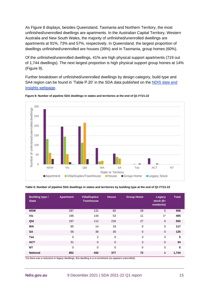As [Figure 8](#page-14-0) displays, besides Queensland, Tasmania and Northern Territory, the most unfinished/unenrolled dwellings are apartments. In the Australian Capital Territory, Western Australia and New South Wales, the majority of unfinished/unenrolled dwellings are apartments at 91%, 73% and 57%, respectively. In Queensland, the largest proportion of dwellings unfinished/unenrolled are houses (39%) and in Tasmania, group homes (60%).

Of the unfinished/unenrolled dwellings, 41% are high physical support apartments (719 out of 1,744 dwellings). The next largest proportion is high physical support group homes at 14% [\(Figure 9\)](#page-15-0).

Further breakdown of unfinished/unenrolled dwellings by design category, build type and SA4 region can be found in 'Table P.20' in the SDA data published on the [NDIS data and](https://data.ndis.gov.au/)  [insights webpage.](https://data.ndis.gov.au/)



<span id="page-14-0"></span>**Figure 8: Number of pipeline SDA dwellings in states and territories at the end of Q1 FY21-22**

#### **Table 6: Number of pipeline SDA dwellings in states and territories by building type at the end of Q1 FY21-22**

| <b>Building type /</b><br><b>State</b> | <b>Apartment</b> | Villa/Duplex/<br><b>Townhouse</b> | <b>House</b> | <b>Group Home</b> | Legacy<br>stock $(6+$<br>residents) | <b>Total</b> |
|----------------------------------------|------------------|-----------------------------------|--------------|-------------------|-------------------------------------|--------------|
| <b>NSW</b>                             | 287              | 131                               | 60           | 28                | $\mathbf 0$                         | 506          |
| Vic                                    | 196              | 144                               | 53           | 11                | $1*$                                | 405          |
| Qld                                    | 197              | 112                               | 216          | 27                | $\mathbf 0$                         | 552          |
| <b>WA</b>                              | 85               | 14                                | 18           | $\mathbf 0$       | 0                                   | 117          |
| <b>SA</b>                              | 56               | 39                                | 30           | $\mathbf 0$       | $\mathbf 0$                         | 125          |
| Tas                                    | 0                | 2                                 | 0            | 3                 | $\mathbf 0$                         | 5            |
| <b>ACT</b>                             | 31               | $\Omega$                          | $\mathbf 0$  | 3                 | $\overline{0}$                      | 34           |
| <b>NT</b>                              | $\mathbf 0$      | $\mathbf 0$                       | 0            | $\mathbf 0$       | 0                                   | $\mathbf 0$  |
| <b>National</b>                        | 852              | 442                               | 377          | 72                | 1                                   | 1,744        |

\*As there was a reduction in legacy dwellings, this dwelling is a re-enrolment (so appears unenrolled).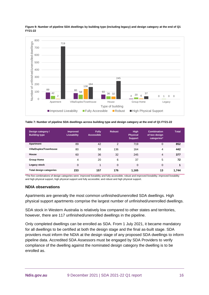

<span id="page-15-0"></span>**Figure 9: Number of pipeline SDA dwellings by building type (including legacy) and design category at the end of Q1 FY21-22**

**Table 7: Number of pipeline SDA dwellings across building type and design category at the end of Q1 FY21-22**

| Design category /<br><b>Building type</b> | <b>Improved</b><br>Liveability | <b>Fully</b><br>Accessible | <b>Robust</b>  | <b>High</b><br><b>Physical</b><br><b>Support</b> | <b>Combination</b><br>of two design<br>categories* | <b>Total</b> |
|-------------------------------------------|--------------------------------|----------------------------|----------------|--------------------------------------------------|----------------------------------------------------|--------------|
| Apartment                                 | 89                             | 42                         | $\mathfrak{p}$ | 719                                              | $\mathbf 0$                                        | 852          |
| Villa/Duplex/Townhouse                    | 80                             | 58                         | 136            | 164                                              | 4                                                  | 442          |
| House                                     | 60                             | 36                         | 32             | 245                                              | 4                                                  | 377          |
| <b>Group Home</b>                         | 4                              | 20                         | 6              | 37                                               | 5                                                  | 72           |
| Legacy stock                              | 0                              | $\mathbf{1}$               | $\Omega$       | 0                                                | $\mathbf 0$                                        | 1            |
| <b>Total design categories</b>            | 233                            | 157                        | 176            | 1,165                                            | 13                                                 | 1,744        |

\*The five combinations of design categories were: improved liveability and fully accessible; robust and improved liveability; improved liveability and high physical support, high physical support and fully accessible; and robust and high physical support.

#### **NDIA observations**

Apartments are generally the most common unfinished/unenrolled SDA dwellings. High physical support apartments comprise the largest number of unfinished/unenrolled dwellings.

SDA stock in Western Australia is relatively low compared to other states and territories, however, there are 117 unfinished/unenrolled dwellings in the pipeline.

Only completed dwellings can be enrolled as SDA. From 1 July 2021, it became mandatory for all dwellings to be certified at both the design stage and the final as-built stage. SDA providers must inform the NDIA at the design stage of any proposed SDA dwellings to inform pipeline data. Accredited SDA Assessors must be engaged by SDA Providers to verify compliance of the dwelling against the nominated design category the dwelling is to be enrolled as.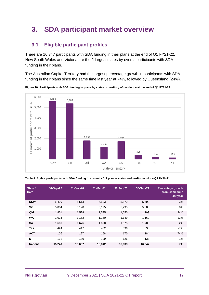# <span id="page-16-0"></span>**3. SDA participant market overview**

# <span id="page-16-1"></span>**3.1 Eligible participant profiles**

There are 16,347 participants with SDA funding in their plans at the end of Q1 FY21-22. New South Wales and Victoria are the 2 largest states by overall participants with SDA funding in their plans.

The Australian Capital Territory had the largest percentage growth in participants with SDA funding in their plans since the same time last year at 74%, followed by Queensland (24%).



**Figure 10: Participants with SDA funding in plans by states or territory of residence at the end of Q1 FY21-22**

| State /<br><b>Date</b> | 30-Sep-20 | 31-Dec-20 | 31-Mar-21 | 30-Jun-21 | 30-Sep-21 | Percentage growth<br>from same time<br>last year |
|------------------------|-----------|-----------|-----------|-----------|-----------|--------------------------------------------------|
| <b>NSW</b>             | 5,429     | 5,513     | 5,533     | 5,572     | 5,598     | 3%                                               |
| Vic                    | 5,004     | 5,128     | 5,195     | 5,295     | 5,383     | 8%                                               |
| Qld                    | 1,451     | 1,524     | 1,595     | 1,650     | 1,793     | 24%                                              |
| <b>WA</b>              | 1.024     | 1,152     | 1,160     | 1,149     | 1,160     | 13%                                              |
| <b>SA</b>              | 1,669     | 1,676     | 1,670     | 1,675     | 1,700     | 2%                                               |
| <b>Tas</b>             | 424       | 417       | 402       | 396       | 396       | $-7%$                                            |
| <b>ACT</b>             | 106       | 127       | 158       | 170       | 184       | 74%                                              |
| <b>NT</b>              | 132       | 130       | 129       | 126       | 133       | 1%                                               |
| <b>National</b>        | 15,240    | 15,667    | 15,842    | 16,033    | 16,347    | 7%                                               |

**Table 8: Active participants with SDA funding in current NDIS plan in states and territories since Q1 FY20-21**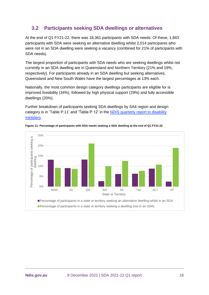# <span id="page-17-0"></span>**3.2 Participants seeking SDA dwellings or alternatives**

At the end of Q1 FY21-22, there was 18,361 participants with SDA needs. Of these, 1,843 participants with SDA were seeking an alternative dwelling whilst 2,014 participants who were not in an SDA dwelling were seeking a vacancy (combined for 21% of participants with SDA needs).

The largest proportion of participants with SDA needs who are seeking dwellings whilst not currently in an SDA dwelling are in Queensland and Northern Territory (21% and 19%, respectively). For participants already in an SDA dwelling but seeking alternatives, Queensland and New South Wales have the largest percentages at 13% each.

Nationally, the most common design category dwellings participants are eligible for is improved liveability (34%), followed by high physical support (29%) and fully accessible dwellings (20%).

Further breakdown of participants seeking SDA dwellings by SA4 region and design category is in 'Table P.11' and 'Table P.12' in the [NDIS quarterly report to disability](https://www.ndis.gov.au/about-us/publications/quarterly-reports)  [ministers.](https://www.ndis.gov.au/about-us/publications/quarterly-reports)



**Figure 11: Percentage of participants with SDA needs seeking a SDA dwelling at the end of Q1 FY21-22**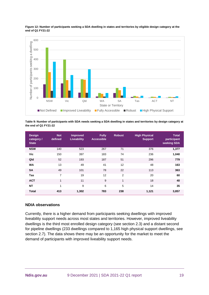

**Figure 12: Number of participants seeking a SDA dwelling in states and territories by eligible design category at the end of Q1 FY21-22**

**Table 9: Number of participants with SDA needs seeking a SDA dwelling in states and territories by design category at the end of Q1 FY21-22**

| <b>Design</b><br>category /<br><b>State</b> | <b>Not</b><br>defined | <b>Improved</b><br><b>Liveability</b> | <b>Fully</b><br><b>Accessible</b> | <b>Robust</b>  | <b>High Physical</b><br><b>Support</b> | <b>Total</b><br>participant<br>seeking SDA |
|---------------------------------------------|-----------------------|---------------------------------------|-----------------------------------|----------------|----------------------------------------|--------------------------------------------|
| <b>NSW</b>                                  | 140                   | 523                                   | 267                               | 71             | 376                                    | 1,377                                      |
| Vic                                         | 150                   | 397                                   | 183                               | 74             | 236                                    | 1,040                                      |
| Qld                                         | 52                    | 193                                   | 187                               | 51             | 296                                    | 779                                        |
| <b>WA</b>                                   | 13                    | 49                                    | 41                                | 12             | 48                                     | 163                                        |
| <b>SA</b>                                   | 49                    | 101                                   | 78                                | 22             | 113                                    | 363                                        |
| Tas                                         | 7                     | 19                                    | 12                                | $\overline{2}$ | 20                                     | 60                                         |
| <b>ACT</b>                                  | 1                     | 11                                    | 9                                 | $\mathbf{1}$   | 18                                     | 40                                         |
| <b>NT</b>                                   | 1                     | 9                                     | 6                                 | 5              | 14                                     | 35                                         |
| <b>Total</b>                                | 413                   | 1,302                                 | 783                               | 238            | 1,121                                  | 3,857                                      |

#### **NDIA observations**

Currently, there is a higher demand from participants seeking dwellings with improved liveability support needs across most states and territories. However, improved liveability dwellings is the third most enrolled design category (see section [2.3\)](#page-8-0) and a distant second for pipeline dwellings (233 dwellings compared to 1,165 high physical support dwellings, see section [2.7\)](#page-13-0). The data shows there may be an opportunity for the market to meet the demand of participants with improved liveability support needs.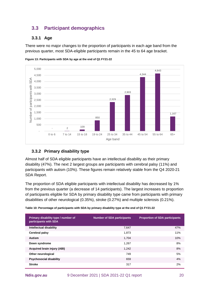# <span id="page-19-0"></span>**3.3 Participant demographics**

## <span id="page-19-1"></span>**3.3.1 Age**

There were no major changes to the proportion of participants in each age band from the previous quarter, most SDA-eligible participants remain in the 45 to 64 age bracket.



**Figure 13: Participants with SDA by age at the end of Q1 FY21-22**

## <span id="page-19-2"></span>**3.3.2 Primary disability type**

Almost half of SDA eligible participants have an intellectual disability as their primary disability (47%). The next 2 largest groups are participants with cerebral palsy (11%) and participants with autism (10%). These figures remain relatively stable from the Q4 2020-21 SDA Report.

The proportion of SDA eligible participants with intellectual disability has decreased by 1% from the previous quarter (a decrease of 14 participants). The largest increases to proportion of participants eligible for SDA by primary disability type came from participants with primary disabilities of other neurological (0.35%), stroke (0.27%) and multiple sclerosis (0.21%).

**Table 10: Percentage of participants with SDA by primary disability type at the end of Q1 FY21-22**

| Primary disability type / number of<br>participants with SDA | <b>Number of SDA participants</b> | <b>Proportion of SDA participants</b> |
|--------------------------------------------------------------|-----------------------------------|---------------------------------------|
| Intellectual disability                                      | 7.647                             | 47%                                   |
| Cerebral palsy                                               | 1,873                             | 11%                                   |
| <b>Autism</b>                                                | 1,704                             | 10%                                   |
| Down syndrome                                                | 1,267                             | 8%                                    |
| Acquired brain injury (ABI)                                  | 1,242                             | 8%                                    |
| Other neurological                                           | 749                               | 5%                                    |
| <b>Psychosocial disability</b>                               | 659                               | 4%                                    |
| <b>Stroke</b>                                                | 317                               | 2%                                    |